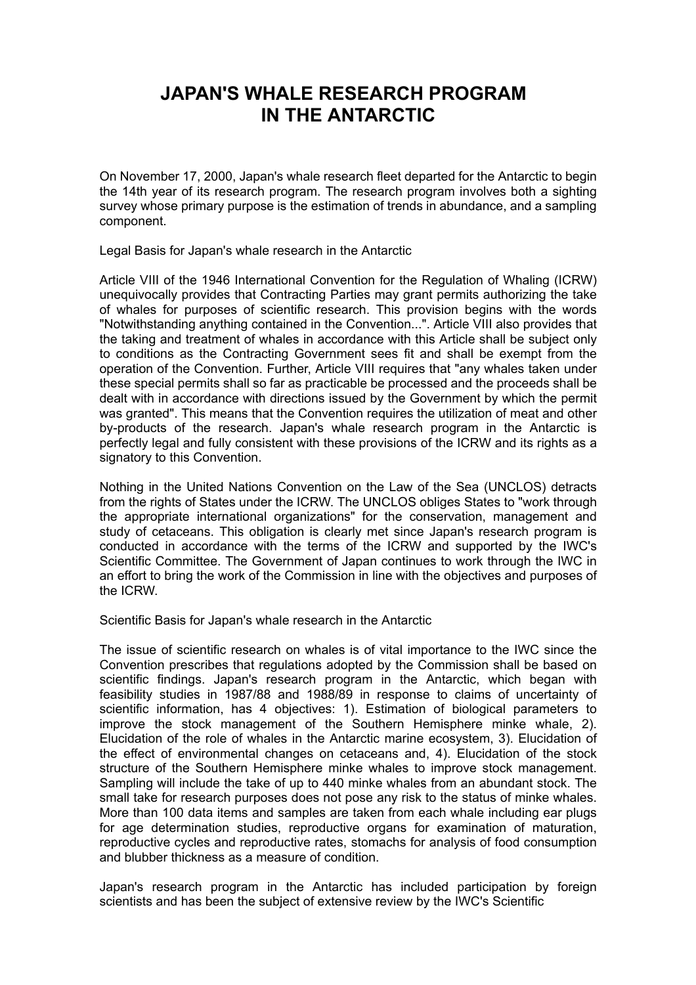## **JAPAN'S WHALE RESEARCH PROGRAM IN THE ANTARCTIC**

On November 17, 2000, Japan's whale research fleet departed for the Antarctic to begin the 14th year of its research program. The research program involves both a sighting survey whose primary purpose is the estimation of trends in abundance, and a sampling component.

Legal Basis for Japan's whale research in the Antarctic

Article VIII of the 1946 International Convention for the Regulation of Whaling (ICRW) unequivocally provides that Contracting Parties may grant permits authorizing the take of whales for purposes of scientific research. This provision begins with the words "Notwithstanding anything contained in the Convention...". Article VIII also provides that the taking and treatment of whales in accordance with this Article shall be subject only to conditions as the Contracting Government sees fit and shall be exempt from the operation of the Convention. Further, Article VIII requires that "any whales taken under these special permits shall so far as practicable be processed and the proceeds shall be dealt with in accordance with directions issued by the Government by which the permit was granted". This means that the Convention requires the utilization of meat and other by-products of the research. Japan's whale research program in the Antarctic is perfectly legal and fully consistent with these provisions of the ICRW and its rights as a signatory to this Convention.

Nothing in the United Nations Convention on the Law of the Sea (UNCLOS) detracts from the rights of States under the ICRW. The UNCLOS obliges States to "work through the appropriate international organizations" for the conservation, management and study of cetaceans. This obligation is clearly met since Japan's research program is conducted in accordance with the terms of the ICRW and supported by the IWC's Scientific Committee. The Government of Japan continues to work through the IWC in an effort to bring the work of the Commission in line with the objectives and purposes of the ICRW.

Scientific Basis for Japan's whale research in the Antarctic

The issue of scientific research on whales is of vital importance to the IWC since the Convention prescribes that regulations adopted by the Commission shall be based on scientific findings. Japan's research program in the Antarctic, which began with feasibility studies in 1987/88 and 1988/89 in response to claims of uncertainty of scientific information, has 4 objectives: 1). Estimation of biological parameters to improve the stock management of the Southern Hemisphere minke whale, 2). Elucidation of the role of whales in the Antarctic marine ecosystem, 3). Elucidation of the effect of environmental changes on cetaceans and, 4). Elucidation of the stock structure of the Southern Hemisphere minke whales to improve stock management. Sampling will include the take of up to 440 minke whales from an abundant stock. The small take for research purposes does not pose any risk to the status of minke whales. More than 100 data items and samples are taken from each whale including ear plugs for age determination studies, reproductive organs for examination of maturation, reproductive cycles and reproductive rates, stomachs for analysis of food consumption and blubber thickness as a measure of condition.

Japan's research program in the Antarctic has included participation by foreign scientists and has been the subject of extensive review by the IWC's Scientific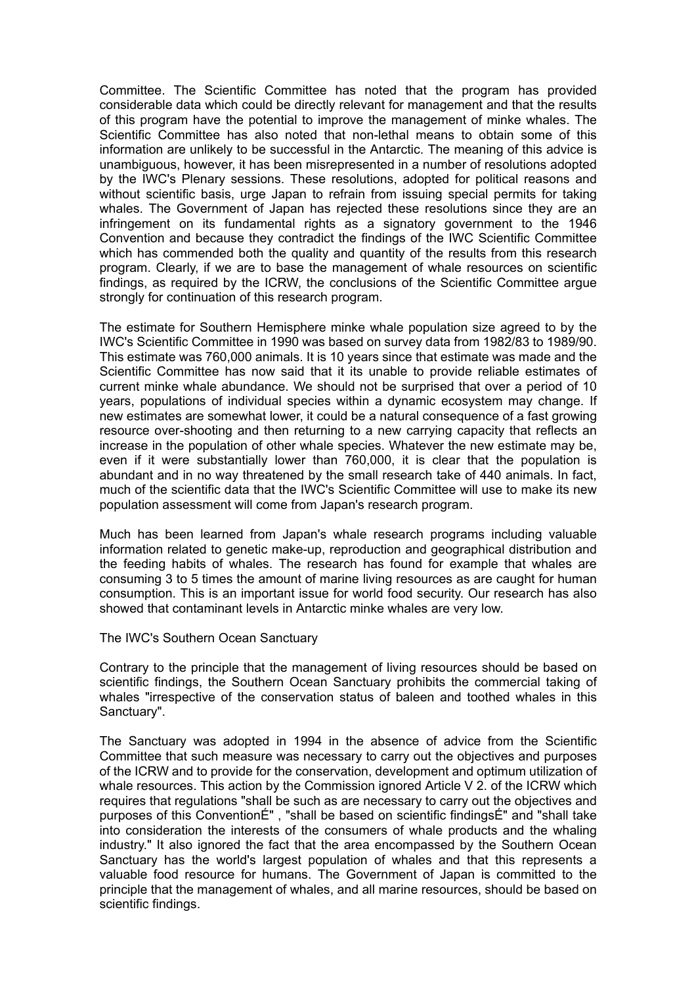Committee. The Scientific Committee has noted that the program has provided considerable data which could be directly relevant for management and that the results of this program have the potential to improve the management of minke whales. The Scientific Committee has also noted that non-lethal means to obtain some of this information are unlikely to be successful in the Antarctic. The meaning of this advice is unambiguous, however, it has been misrepresented in a number of resolutions adopted by the IWC's Plenary sessions. These resolutions, adopted for political reasons and without scientific basis, urge Japan to refrain from issuing special permits for taking whales. The Government of Japan has rejected these resolutions since they are an infringement on its fundamental rights as a signatory government to the 1946 Convention and because they contradict the findings of the IWC Scientific Committee which has commended both the quality and quantity of the results from this research program. Clearly, if we are to base the management of whale resources on scientific findings, as required by the ICRW, the conclusions of the Scientific Committee argue strongly for continuation of this research program.

The estimate for Southern Hemisphere minke whale population size agreed to by the IWC's Scientific Committee in 1990 was based on survey data from 1982/83 to 1989/90. This estimate was 760,000 animals. It is 10 years since that estimate was made and the Scientific Committee has now said that it its unable to provide reliable estimates of current minke whale abundance. We should not be surprised that over a period of 10 years, populations of individual species within a dynamic ecosystem may change. If new estimates are somewhat lower, it could be a natural consequence of a fast growing resource over-shooting and then returning to a new carrying capacity that reflects an increase in the population of other whale species. Whatever the new estimate may be, even if it were substantially lower than 760,000, it is clear that the population is abundant and in no way threatened by the small research take of 440 animals. In fact, much of the scientific data that the IWC's Scientific Committee will use to make its new population assessment will come from Japan's research program.

Much has been learned from Japan's whale research programs including valuable information related to genetic make-up, reproduction and geographical distribution and the feeding habits of whales. The research has found for example that whales are consuming 3 to 5 times the amount of marine living resources as are caught for human consumption. This is an important issue for world food security. Our research has also showed that contaminant levels in Antarctic minke whales are very low.

The IWC's Southern Ocean Sanctuary

Contrary to the principle that the management of living resources should be based on scientific findings, the Southern Ocean Sanctuary prohibits the commercial taking of whales "irrespective of the conservation status of baleen and toothed whales in this Sanctuary".

The Sanctuary was adopted in 1994 in the absence of advice from the Scientific Committee that such measure was necessary to carry out the objectives and purposes of the ICRW and to provide for the conservation, development and optimum utilization of whale resources. This action by the Commission ignored Article V 2. of the ICRW which requires that regulations "shall be such as are necessary to carry out the objectives and purposes of this ConventionÉ" , "shall be based on scientific findingsÉ" and "shall take into consideration the interests of the consumers of whale products and the whaling industry." It also ignored the fact that the area encompassed by the Southern Ocean Sanctuary has the world's largest population of whales and that this represents a valuable food resource for humans. The Government of Japan is committed to the principle that the management of whales, and all marine resources, should be based on scientific findings.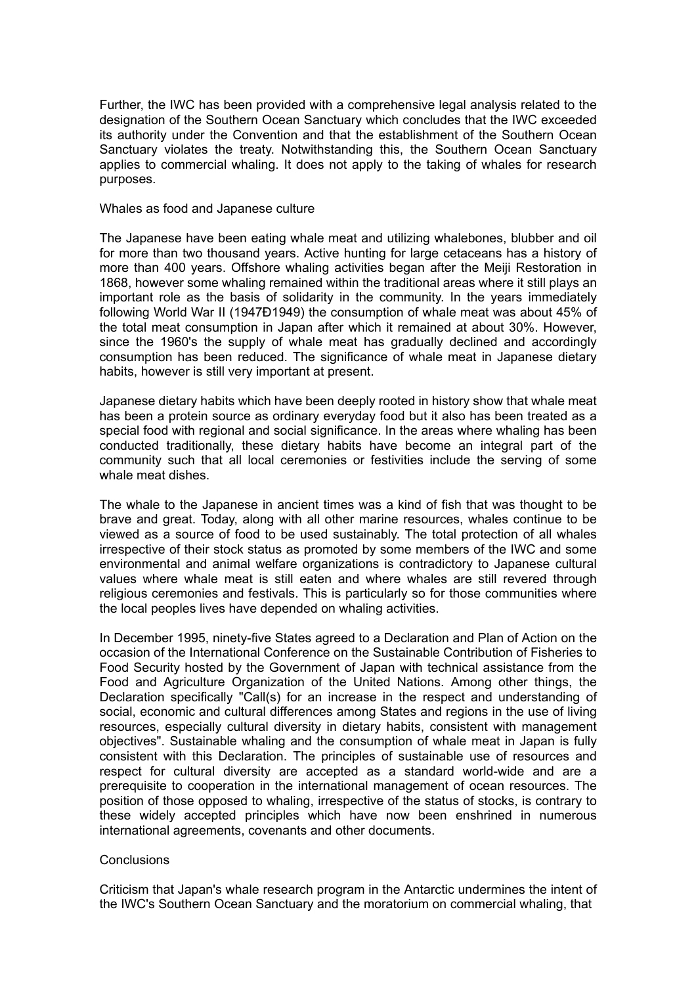Further, the IWC has been provided with a comprehensive legal analysis related to the designation of the Southern Ocean Sanctuary which concludes that the IWC exceeded its authority under the Convention and that the establishment of the Southern Ocean Sanctuary violates the treaty. Notwithstanding this, the Southern Ocean Sanctuary applies to commercial whaling. It does not apply to the taking of whales for research purposes.

## Whales as food and Japanese culture

The Japanese have been eating whale meat and utilizing whalebones, blubber and oil for more than two thousand years. Active hunting for large cetaceans has a history of more than 400 years. Offshore whaling activities began after the Meiji Restoration in 1868, however some whaling remained within the traditional areas where it still plays an important role as the basis of solidarity in the community. In the years immediately following World War II (1947Ð1949) the consumption of whale meat was about 45% of the total meat consumption in Japan after which it remained at about 30%. However, since the 1960's the supply of whale meat has gradually declined and accordingly consumption has been reduced. The significance of whale meat in Japanese dietary habits, however is still very important at present.

Japanese dietary habits which have been deeply rooted in history show that whale meat has been a protein source as ordinary everyday food but it also has been treated as a special food with regional and social significance. In the areas where whaling has been conducted traditionally, these dietary habits have become an integral part of the community such that all local ceremonies or festivities include the serving of some whale meat dishes.

The whale to the Japanese in ancient times was a kind of fish that was thought to be brave and great. Today, along with all other marine resources, whales continue to be viewed as a source of food to be used sustainably. The total protection of all whales irrespective of their stock status as promoted by some members of the IWC and some environmental and animal welfare organizations is contradictory to Japanese cultural values where whale meat is still eaten and where whales are still revered through religious ceremonies and festivals. This is particularly so for those communities where the local peoples lives have depended on whaling activities.

In December 1995, ninety-five States agreed to a Declaration and Plan of Action on the occasion of the International Conference on the Sustainable Contribution of Fisheries to Food Security hosted by the Government of Japan with technical assistance from the Food and Agriculture Organization of the United Nations. Among other things, the Declaration specifically "Call(s) for an increase in the respect and understanding of social, economic and cultural differences among States and regions in the use of living resources, especially cultural diversity in dietary habits, consistent with management objectives". Sustainable whaling and the consumption of whale meat in Japan is fully consistent with this Declaration. The principles of sustainable use of resources and respect for cultural diversity are accepted as a standard world-wide and are a prerequisite to cooperation in the international management of ocean resources. The position of those opposed to whaling, irrespective of the status of stocks, is contrary to these widely accepted principles which have now been enshrined in numerous international agreements, covenants and other documents.

## **Conclusions**

Criticism that Japan's whale research program in the Antarctic undermines the intent of the IWC's Southern Ocean Sanctuary and the moratorium on commercial whaling, that